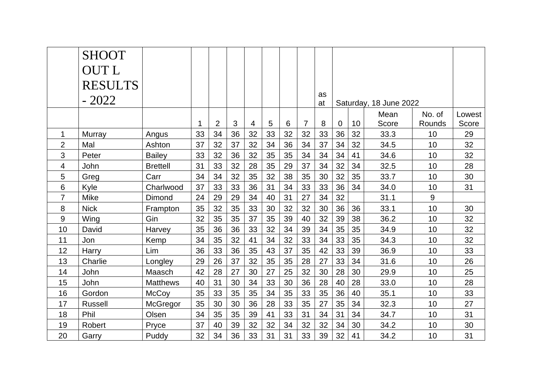|                | <b>SHOOT</b>   |                 |    |                |    |    |    |    |                |          |                        |    |               |                  |                 |
|----------------|----------------|-----------------|----|----------------|----|----|----|----|----------------|----------|------------------------|----|---------------|------------------|-----------------|
|                | <b>OUTL</b>    |                 |    |                |    |    |    |    |                |          |                        |    |               |                  |                 |
|                | <b>RESULTS</b> |                 |    |                |    |    |    |    |                |          |                        |    |               |                  |                 |
|                | $-2022$        |                 |    |                |    |    |    |    |                | as<br>at | Saturday, 18 June 2022 |    |               |                  |                 |
|                |                |                 | 1  | $\overline{2}$ | 3  | 4  | 5  | 6  | $\overline{7}$ | 8        | $\mathbf 0$            | 10 | Mean<br>Score | No. of<br>Rounds | Lowest<br>Score |
| 1              | Murray         | Angus           | 33 | 34             | 36 | 32 | 33 | 32 | 32             | 33       | 36                     | 32 | 33.3          | 10               | 29              |
| $\overline{2}$ | Mal            | Ashton          | 37 | 32             | 37 | 32 | 34 | 36 | 34             | 37       | 34                     | 32 | 34.5          | 10               | 32              |
| 3              | Peter          | <b>Bailey</b>   | 33 | 32             | 36 | 32 | 35 | 35 | 34             | 34       | 34                     | 41 | 34.6          | 10               | 32              |
| 4              | John           | <b>Brettell</b> | 31 | 33             | 32 | 28 | 35 | 29 | 37             | 34       | 32                     | 34 | 32.5          | 10               | 28              |
| 5              | Greg           | Carr            | 34 | 34             | 32 | 35 | 32 | 38 | 35             | 30       | 32                     | 35 | 33.7          | 10               | 30              |
| 6              | Kyle           | Charlwood       | 37 | 33             | 33 | 36 | 31 | 34 | 33             | 33       | 36                     | 34 | 34.0          | 10               | 31              |
| 7              | <b>Mike</b>    | Dimond          | 24 | 29             | 29 | 34 | 40 | 31 | 27             | 34       | 32                     |    | 31.1          | 9                |                 |
| 8              | <b>Nick</b>    | Frampton        | 35 | 32             | 35 | 33 | 30 | 32 | 32             | 30       | 36                     | 36 | 33.1          | 10               | 30              |
| 9              | Wing           | Gin             | 32 | 35             | 35 | 37 | 35 | 39 | 40             | 32       | 39                     | 38 | 36.2          | 10               | 32              |
| 10             | David          | Harvey          | 35 | 36             | 36 | 33 | 32 | 34 | 39             | 34       | 35                     | 35 | 34.9          | 10               | 32              |
| 11             | Jon            | Kemp            | 34 | 35             | 32 | 41 | 34 | 32 | 33             | 34       | 33                     | 35 | 34.3          | 10               | 32              |
| 12             | Harry          | Lim             | 36 | 33             | 36 | 35 | 43 | 37 | 35             | 42       | 33                     | 39 | 36.9          | 10               | 33              |
| 13             | Charlie        | Longley         | 29 | 26             | 37 | 32 | 35 | 35 | 28             | 27       | 33                     | 34 | 31.6          | 10               | 26              |
| 14             | John           | Maasch          | 42 | 28             | 27 | 30 | 27 | 25 | 32             | 30       | 28                     | 30 | 29.9          | 10               | 25              |
| 15             | John           | <b>Matthews</b> | 40 | 31             | 30 | 34 | 33 | 30 | 36             | 28       | 40                     | 28 | 33.0          | 10               | 28              |
| 16             | Gordon         | <b>McCoy</b>    | 35 | 33             | 35 | 35 | 34 | 35 | 33             | 35       | 36                     | 40 | 35.1          | 10               | 33              |
| 17             | <b>Russell</b> | McGregor        | 35 | 30             | 30 | 36 | 28 | 33 | 35             | 27       | 35                     | 34 | 32.3          | 10               | 27              |
| 18             | Phil           | Olsen           | 34 | 35             | 35 | 39 | 41 | 33 | 31             | 34       | 31                     | 34 | 34.7          | 10               | 31              |
| 19             | Robert         | Pryce           | 37 | 40             | 39 | 32 | 32 | 34 | 32             | 32       | 34                     | 30 | 34.2          | 10               | 30              |
| 20             | Garry          | Puddy           | 32 | 34             | 36 | 33 | 31 | 31 | 33             | 39       | 32                     | 41 | 34.2          | 10               | 31              |